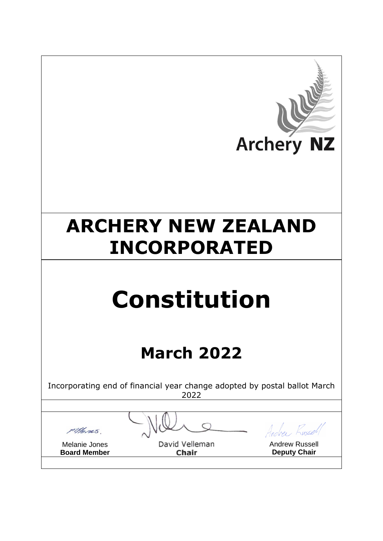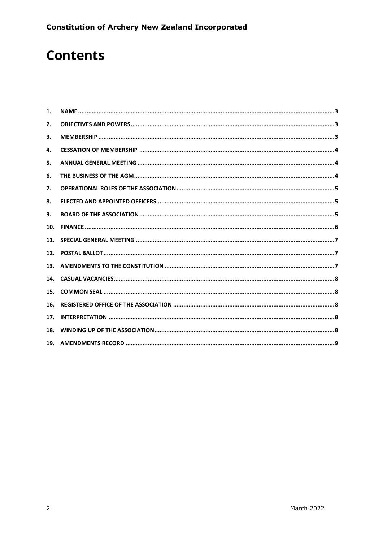# **Contents**

| 1.  |  |
|-----|--|
| 2.  |  |
| 3.  |  |
| 4.  |  |
| 5.  |  |
| 6.  |  |
| 7.  |  |
| 8.  |  |
| 9.  |  |
| 10. |  |
| 11. |  |
| 12. |  |
| 13. |  |
| 14. |  |
| 15. |  |
| 16. |  |
| 17. |  |
| 18. |  |
| 19. |  |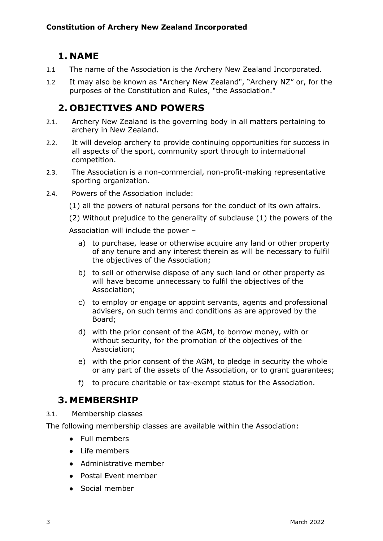# <span id="page-2-0"></span>**1. NAME**

- 1.1 The name of the Association is the Archery New Zealand Incorporated.
- 1.2 It may also be known as "Archery New Zealand", "Archery NZ" or, for the purposes of the Constitution and Rules, "the Association."

# <span id="page-2-1"></span>**2. OBJECTIVES AND POWERS**

- 2.1. Archery New Zealand is the governing body in all matters pertaining to archery in New Zealand.
- 2.2. It will develop archery to provide continuing opportunities for success in all aspects of the sport, community sport through to international competition.
- 2.3. The Association is a non-commercial, non-profit-making representative sporting organization.
- 2.4. Powers of the Association include:
	- (1) all the powers of natural persons for the conduct of its own affairs.
	- (2) Without prejudice to the generality of subclause (1) the powers of the

Association will include the power –

- a) to purchase, lease or otherwise acquire any land or other property of any tenure and any interest therein as will be necessary to fulfil the objectives of the Association;
- b) to sell or otherwise dispose of any such land or other property as will have become unnecessary to fulfil the objectives of the Association;
- c) to employ or engage or appoint servants, agents and professional advisers, on such terms and conditions as are approved by the Board;
- d) with the prior consent of the AGM, to borrow money, with or without security, for the promotion of the objectives of the Association;
- e) with the prior consent of the AGM, to pledge in security the whole or any part of the assets of the Association, or to grant guarantees;
- f) to procure charitable or tax-exempt status for the Association.

### <span id="page-2-2"></span>**3. MEMBERSHIP**

3.1. Membership classes

The following membership classes are available within the Association:

- Full members
- Life members
- Administrative member
- Postal Event member
- Social member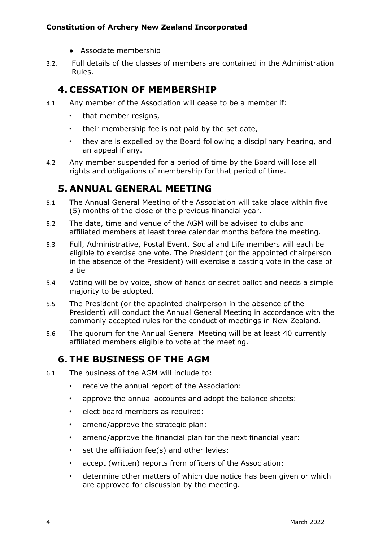- Associate membership
- 3.2. Full details of the classes of members are contained in the Administration Rules.

### <span id="page-3-0"></span>**4. CESSATION OF MEMBERSHIP**

- 4.1 Any member of the Association will cease to be a member if:
	- that member resigns,
	- their membership fee is not paid by the set date,
	- they are is expelled by the Board following a disciplinary hearing, and an appeal if any.
- 4.2 Any member suspended for a period of time by the Board will lose all rights and obligations of membership for that period of time.

# <span id="page-3-1"></span>**5. ANNUAL GENERAL MEETING**

- 5.1 The Annual General Meeting of the Association will take place within five (5) months of the close of the previous financial year.
- 5.2 The date, time and venue of the AGM will be advised to clubs and affiliated members at least three calendar months before the meeting.
- 5.3 Full, Administrative, Postal Event, Social and Life members will each be eligible to exercise one vote. The President (or the appointed chairperson in the absence of the President) will exercise a casting vote in the case of a tie
- 5.4 Voting will be by voice, show of hands or secret ballot and needs a simple majority to be adopted.
- 5.5 The President (or the appointed chairperson in the absence of the President) will conduct the Annual General Meeting in accordance with the commonly accepted rules for the conduct of meetings in New Zealand.
- 5.6 The quorum for the Annual General Meeting will be at least 40 currently affiliated members eligible to vote at the meeting.

# <span id="page-3-2"></span>**6. THE BUSINESS OF THE AGM**

- 6.1 The business of the AGM will include to:
	- receive the annual report of the Association:
	- approve the annual accounts and adopt the balance sheets:
	- elect board members as required:
	- amend/approve the strategic plan:
	- amend/approve the financial plan for the next financial year:
	- set the affiliation fee(s) and other levies:
	- accept (written) reports from officers of the Association:
	- determine other matters of which due notice has been given or which are approved for discussion by the meeting.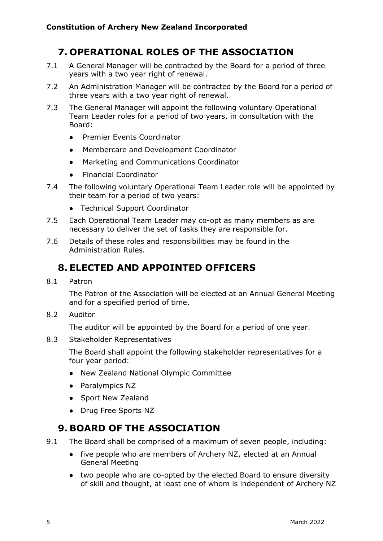# <span id="page-4-0"></span>**7. OPERATIONAL ROLES OF THE ASSOCIATION**

- 7.1 A General Manager will be contracted by the Board for a period of three years with a two year right of renewal.
- 7.2 An Administration Manager will be contracted by the Board for a period of three years with a two year right of renewal.
- 7.3 The General Manager will appoint the following voluntary Operational Team Leader roles for a period of two years, in consultation with the Board:
	- Premier Events Coordinator
	- Membercare and Development Coordinator
	- Marketing and Communications Coordinator
	- **Financial Coordinator**
- 7.4 The following voluntary Operational Team Leader role will be appointed by their team for a period of two years:
	- Technical Support Coordinator
- 7.5 Each Operational Team Leader may co-opt as many members as are necessary to deliver the set of tasks they are responsible for.
- 7.6 Details of these roles and responsibilities may be found in the Administration Rules.

# <span id="page-4-1"></span>**8. ELECTED AND APPOINTED OFFICERS**

8.1 Patron

The Patron of the Association will be elected at an Annual General Meeting and for a specified period of time.

8.2 Auditor

The auditor will be appointed by the Board for a period of one year.

8.3 Stakeholder Representatives

The Board shall appoint the following stakeholder representatives for a four year period:

- New Zealand National Olympic Committee
- Paralympics NZ
- Sport New Zealand
- Drug Free Sports NZ

# <span id="page-4-2"></span>**9. BOARD OF THE ASSOCIATION**

9.1 The Board shall be comprised of a maximum of seven people, including:

- five people who are members of Archery NZ, elected at an Annual General Meeting
- two people who are co-opted by the elected Board to ensure diversity of skill and thought, at least one of whom is independent of Archery NZ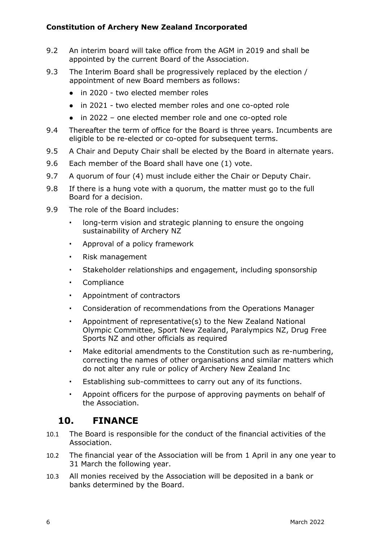- 9.2 An interim board will take office from the AGM in 2019 and shall be appointed by the current Board of the Association.
- 9.3 The Interim Board shall be progressively replaced by the election / appointment of new Board members as follows:
	- in 2020 two elected member roles
	- in 2021 two elected member roles and one co-opted role
	- in 2022 one elected member role and one co-opted role
- 9.4 Thereafter the term of office for the Board is three years. Incumbents are eligible to be re-elected or co-opted for subsequent terms.
- 9.5 A Chair and Deputy Chair shall be elected by the Board in alternate years.
- 9.6 Each member of the Board shall have one (1) vote.
- 9.7 A quorum of four (4) must include either the Chair or Deputy Chair.
- 9.8 If there is a hung vote with a quorum, the matter must go to the full Board for a decision.
- 9.9 The role of the Board includes:
	- long-term vision and strategic planning to ensure the ongoing sustainability of Archery NZ
	- Approval of a policy framework
	- Risk management
	- Stakeholder relationships and engagement, including sponsorship
	- Compliance
	- Appointment of contractors
	- Consideration of recommendations from the Operations Manager
	- Appointment of representative(s) to the New Zealand National Olympic Committee, Sport New Zealand, Paralympics NZ, Drug Free Sports NZ and other officials as required
	- Make editorial amendments to the Constitution such as re-numbering, correcting the names of other organisations and similar matters which do not alter any rule or policy of Archery New Zealand Inc
	- Establishing sub-committees to carry out any of its functions.
	- Appoint officers for the purpose of approving payments on behalf of the Association.

# <span id="page-5-0"></span>**10. FINANCE**

- 10.1 The Board is responsible for the conduct of the financial activities of the Association.
- 10.2 The financial year of the Association will be from 1 April in any one year to 31 March the following year.
- 10.3 All monies received by the Association will be deposited in a bank or banks determined by the Board.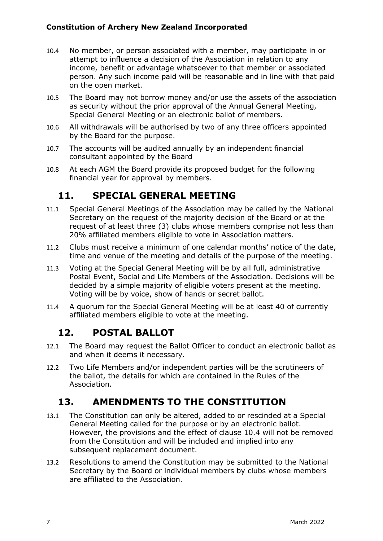- 10.4 No member, or person associated with a member, may participate in or attempt to influence a decision of the Association in relation to any income, benefit or advantage whatsoever to that member or associated person. Any such income paid will be reasonable and in line with that paid on the open market.
- 10.5 The Board may not borrow money and/or use the assets of the association as security without the prior approval of the Annual General Meeting, Special General Meeting or an electronic ballot of members.
- 10.6 All withdrawals will be authorised by two of any three officers appointed by the Board for the purpose.
- 10.7 The accounts will be audited annually by an independent financial consultant appointed by the Board
- 10.8 At each AGM the Board provide its proposed budget for the following financial year for approval by members.

# <span id="page-6-0"></span>**11. SPECIAL GENERAL MEETING**

- 11.1 Special General Meetings of the Association may be called by the National Secretary on the request of the majority decision of the Board or at the request of at least three (3) clubs whose members comprise not less than 20% affiliated members eligible to vote in Association matters.
- 11.2 Clubs must receive a minimum of one calendar months' notice of the date, time and venue of the meeting and details of the purpose of the meeting.
- 11.3 Voting at the Special General Meeting will be by all full, administrative Postal Event, Social and Life Members of the Association. Decisions will be decided by a simple majority of eligible voters present at the meeting. Voting will be by voice, show of hands or secret ballot.
- 11.4 A quorum for the Special General Meeting will be at least 40 of currently affiliated members eligible to vote at the meeting.

# <span id="page-6-1"></span>**12. POSTAL BALLOT**

- 12.1 The Board may request the Ballot Officer to conduct an electronic ballot as and when it deems it necessary.
- 12.2 Two Life Members and/or independent parties will be the scrutineers of the ballot, the details for which are contained in the Rules of the Association.

# <span id="page-6-2"></span>**13. AMENDMENTS TO THE CONSTITUTION**

- 13.1 The Constitution can only be altered, added to or rescinded at a Special General Meeting called for the purpose or by an electronic ballot. However, the provisions and the effect of clause 10.4 will not be removed from the Constitution and will be included and implied into any subsequent replacement document.
- 13.2 Resolutions to amend the Constitution may be submitted to the National Secretary by the Board or individual members by clubs whose members are affiliated to the Association.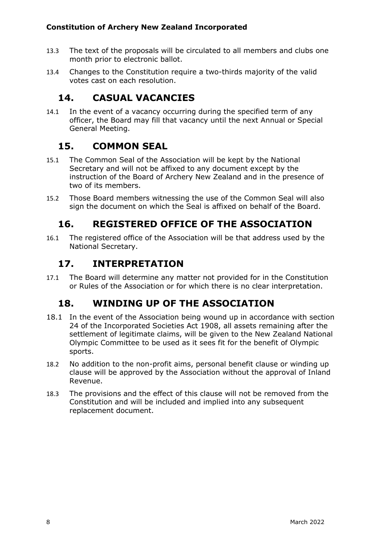- 13.3 The text of the proposals will be circulated to all members and clubs one month prior to electronic ballot.
- 13.4 Changes to the Constitution require a two-thirds majority of the valid votes cast on each resolution.

# <span id="page-7-0"></span>**14. CASUAL VACANCIES**

14.1 In the event of a vacancy occurring during the specified term of any officer, the Board may fill that vacancy until the next Annual or Special General Meeting.

# <span id="page-7-1"></span>**15. COMMON SEAL**

- 15.1 The Common Seal of the Association will be kept by the National Secretary and will not be affixed to any document except by the instruction of the Board of Archery New Zealand and in the presence of two of its members.
- 15.2 Those Board members witnessing the use of the Common Seal will also sign the document on which the Seal is affixed on behalf of the Board.

# <span id="page-7-2"></span>**16. REGISTERED OFFICE OF THE ASSOCIATION**

16.1 The registered office of the Association will be that address used by the National Secretary.

### <span id="page-7-3"></span>**17. INTERPRETATION**

17.1 The Board will determine any matter not provided for in the Constitution or Rules of the Association or for which there is no clear interpretation.

# <span id="page-7-4"></span>**18. WINDING UP OF THE ASSOCIATION**

- 18.1 In the event of the Association being wound up in accordance with section 24 of the Incorporated Societies Act 1908, all assets remaining after the settlement of legitimate claims, will be given to the New Zealand National Olympic Committee to be used as it sees fit for the benefit of Olympic sports.
- 18.2 No addition to the non-profit aims, personal benefit clause or winding up clause will be approved by the Association without the approval of Inland Revenue.
- 18.3 The provisions and the effect of this clause will not be removed from the Constitution and will be included and implied into any subsequent replacement document.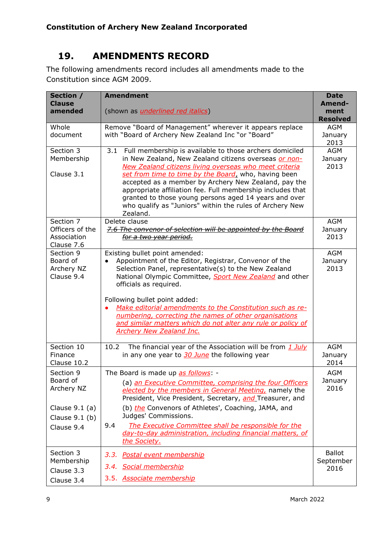# <span id="page-8-0"></span>**19. AMENDMENTS RECORD**

The following amendments record includes all amendments made to the Constitution since AGM 2009.

| Section /<br><b>Clause</b>                                                                | <b>Amendment</b>                                                                                                                                                                                                                                                                                                                                                                                                                                                                                              | <b>Date</b><br>Amend-              |
|-------------------------------------------------------------------------------------------|---------------------------------------------------------------------------------------------------------------------------------------------------------------------------------------------------------------------------------------------------------------------------------------------------------------------------------------------------------------------------------------------------------------------------------------------------------------------------------------------------------------|------------------------------------|
| amended                                                                                   | (shown as <i>underlined red italics</i> )                                                                                                                                                                                                                                                                                                                                                                                                                                                                     | ment<br><b>Resolved</b>            |
| Whole<br>document                                                                         | Remove "Board of Management" wherever it appears replace<br>with "Board of Archery New Zealand Inc "or "Board"                                                                                                                                                                                                                                                                                                                                                                                                | <b>AGM</b><br>January<br>2013      |
| Section 3<br>Membership<br>Clause 3.1                                                     | Full membership is available to those archers domiciled<br>3.1<br>in New Zealand, New Zealand citizens overseas or non-<br>New Zealand citizens living overseas who meet criteria<br>set from time to time by the Board, who, having been<br>accepted as a member by Archery New Zealand, pay the<br>appropriate affiliation fee. Full membership includes that<br>granted to those young persons aged 14 years and over<br>who qualify as "Juniors" within the rules of Archery New<br>Zealand.              | <b>AGM</b><br>January<br>2013      |
| Section 7<br>Officers of the<br>Association<br>Clause 7.6                                 | Delete clause<br>7.6 The convenor of selection will be appointed by the Board<br>for a two year period.                                                                                                                                                                                                                                                                                                                                                                                                       | <b>AGM</b><br>January<br>2013      |
| Section 9<br>Board of<br>Archery NZ<br>Clause 9.4                                         | Existing bullet point amended:<br>Appointment of the Editor, Registrar, Convenor of the<br>$\bullet$<br>Selection Panel, representative(s) to the New Zealand<br>National Olympic Committee, Sport New Zealand and other<br>officials as required.<br>Following bullet point added:<br>Make editorial amendments to the Constitution such as re-<br>numbering, correcting the names of other organisations<br>and similar matters which do not alter any rule or policy of<br><b>Archery New Zealand Inc.</b> | <b>AGM</b><br>January<br>2013      |
| Section 10<br>Finance<br>Clause 10.2                                                      | The financial year of the Association will be from 1 July<br>10.2<br>in any one year to 30 June the following year                                                                                                                                                                                                                                                                                                                                                                                            | <b>AGM</b><br>January<br>2014      |
| Section 9<br>Board of<br>Archery NZ<br>Clause $9.1$ (a)<br>Clause $9.1$ (b)<br>Clause 9.4 | The Board is made up as follows: -<br>(a) an Executive Committee, comprising the four Officers<br>elected by the members in General Meeting, namely the<br>President, Vice President, Secretary, and Treasurer, and<br>(b) the Convenors of Athletes', Coaching, JAMA, and<br>Judges' Commissions.<br>9.4<br>The Executive Committee shall be responsible for the<br>day-to-day administration, including financial matters, of<br>the Society.                                                               | <b>AGM</b><br>January<br>2016      |
| Section 3<br>Membership<br>Clause 3.3<br>Clause 3.4                                       | 3.3. Postal event membership<br>3.4. Social membership<br>3.5. Associate membership                                                                                                                                                                                                                                                                                                                                                                                                                           | <b>Ballot</b><br>September<br>2016 |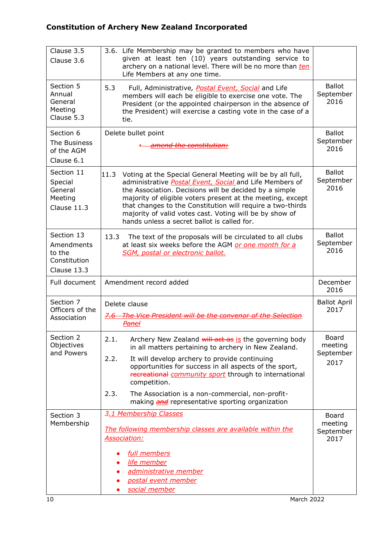| Clause 3.5<br>Clause 3.6                                          | 3.6. Life Membership may be granted to members who have<br>given at least ten (10) years outstanding service to<br>archery on a national level. There will be no more than ten<br>Life Members at any one time.                                                                                                                                                                                                               |                                    |
|-------------------------------------------------------------------|-------------------------------------------------------------------------------------------------------------------------------------------------------------------------------------------------------------------------------------------------------------------------------------------------------------------------------------------------------------------------------------------------------------------------------|------------------------------------|
| Section 5<br>Annual<br>General<br>Meeting<br>Clause 5.3           | 5.3<br>Full, Administrative, Postal Event, Social and Life<br>members will each be eligible to exercise one vote. The<br>President (or the appointed chairperson in the absence of<br>the President) will exercise a casting vote in the case of a<br>tie.                                                                                                                                                                    | <b>Ballot</b><br>September<br>2016 |
| Section 6                                                         | Delete bullet point                                                                                                                                                                                                                                                                                                                                                                                                           | <b>Ballot</b>                      |
| The Business<br>of the AGM                                        | amend the constitution:                                                                                                                                                                                                                                                                                                                                                                                                       | September<br>2016                  |
| Clause 6.1                                                        |                                                                                                                                                                                                                                                                                                                                                                                                                               |                                    |
| Section 11<br>Special<br>General<br>Meeting<br>Clause 11.3        | 11.3<br>Voting at the Special General Meeting will be by all full,<br>administrative Postal Event, Social and Life Members of<br>the Association. Decisions will be decided by a simple<br>majority of eligible voters present at the meeting, except<br>that changes to the Constitution will require a two-thirds<br>majority of valid votes cast. Voting will be by show of<br>hands unless a secret ballot is called for. | <b>Ballot</b><br>September<br>2016 |
| Section 13<br>Amendments<br>to the<br>Constitution<br>Clause 13.3 | 13.3<br>The text of the proposals will be circulated to all clubs<br>at least six weeks before the AGM or one month for a<br>SGM, postal or electronic ballot.                                                                                                                                                                                                                                                                | <b>Ballot</b><br>September<br>2016 |
| Full document                                                     | Amendment record added                                                                                                                                                                                                                                                                                                                                                                                                        | December<br>2016                   |
| Section 7<br>Officers of the<br>Association                       | Delete clause<br>7.6 The Vice President will be the convenor of the Selection<br><b>Panel</b>                                                                                                                                                                                                                                                                                                                                 | <b>Ballot April</b><br>2017        |
| Section 2<br>Objectives                                           | 2.1.<br>Archery New Zealand will act as is the governing body<br>in all matters pertaining to archery in New Zealand.                                                                                                                                                                                                                                                                                                         | <b>Board</b><br>meeting            |
| and Powers                                                        | 2.2.<br>It will develop archery to provide continuing<br>opportunities for success in all aspects of the sport,<br>recreational community sport through to international<br>competition.                                                                                                                                                                                                                                      | September<br>2017                  |
|                                                                   | The Association is a non-commercial, non-profit-<br>2.3.<br>making <b>and</b> representative sporting organization                                                                                                                                                                                                                                                                                                            |                                    |
| Section 3                                                         | 3.1 Membership Classes                                                                                                                                                                                                                                                                                                                                                                                                        | Board                              |
| Membership                                                        | The following membership classes are available within the<br><b>Association:</b>                                                                                                                                                                                                                                                                                                                                              | meeting<br>September<br>2017       |
|                                                                   | full members                                                                                                                                                                                                                                                                                                                                                                                                                  |                                    |
|                                                                   | life member                                                                                                                                                                                                                                                                                                                                                                                                                   |                                    |
|                                                                   | administrative member<br>postal event member                                                                                                                                                                                                                                                                                                                                                                                  |                                    |
|                                                                   | social member                                                                                                                                                                                                                                                                                                                                                                                                                 |                                    |
| 10                                                                | March 2022                                                                                                                                                                                                                                                                                                                                                                                                                    |                                    |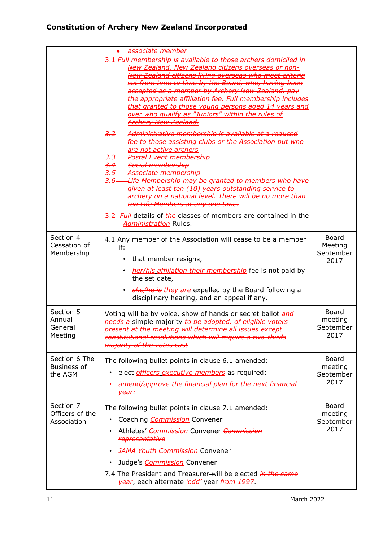|                                                | <u>associate member</u><br>3.1 Full membership is available to those archers domiciled in<br>New Zealand, New Zealand citizens overseas or non-<br>New Zealand citizens living overseas who meet criteria<br>set from time to time by the Board, who, having been<br>accepted as a member by Archery New Zealand, pay<br>the appropriate affiliation fee. Full membership includes<br>that granted to those young persons aged 14 years and<br>over who qualify as "Juniors" within the rules of<br><b>Archery New Zealand.</b><br>$3.2 -$<br>Administrative membership is available at a reduced<br>to those assisting clubs or the Association but who<br><del>are not active archers</del><br><del>Postal Event membership</del><br><del>3,3</del><br><del>Social membership</del><br>3.5<br><del>Associate membership</del><br>Life Membership may be granted to members who have<br><del>3.6</del><br>given at least ten (10) years outstanding service to<br>archery on a national level. There will be no more than<br>ten Life Members at any one time.<br>3.2 Full details of the classes of members are contained in the<br><b>Administration Rules.</b> |                                       |
|------------------------------------------------|--------------------------------------------------------------------------------------------------------------------------------------------------------------------------------------------------------------------------------------------------------------------------------------------------------------------------------------------------------------------------------------------------------------------------------------------------------------------------------------------------------------------------------------------------------------------------------------------------------------------------------------------------------------------------------------------------------------------------------------------------------------------------------------------------------------------------------------------------------------------------------------------------------------------------------------------------------------------------------------------------------------------------------------------------------------------------------------------------------------------------------------------------------------------|---------------------------------------|
| Section 4<br>Cessation of<br>Membership        | 4.1 Any member of the Association will cease to be a member<br>if:<br>that member resigns,<br>her/his affiliation their membership fee is not paid by<br>the set date,<br>she/he is they are expelled by the Board following a<br>disciplinary hearing, and an appeal if any.                                                                                                                                                                                                                                                                                                                                                                                                                                                                                                                                                                                                                                                                                                                                                                                                                                                                                      | Board<br>Meeting<br>September<br>2017 |
| Section 5<br>Annual<br>General<br>Meeting      | Voting will be by voice, show of hands or secret ballot and<br>needs a simple majority to be adopted. of eligible voters<br>present at the meeting will determine all issues except<br>constitutional resolutions which will require a two-thirds<br>majority of the votes cast                                                                                                                                                                                                                                                                                                                                                                                                                                                                                                                                                                                                                                                                                                                                                                                                                                                                                    | Board<br>meeting<br>September<br>2017 |
| Section 6 The<br><b>Business of</b><br>the AGM | The following bullet points in clause 6.1 amended:<br>elect <i>officers executive members</i> as required:<br>amend/approve the financial plan for the next financial<br>year:                                                                                                                                                                                                                                                                                                                                                                                                                                                                                                                                                                                                                                                                                                                                                                                                                                                                                                                                                                                     | Board<br>meeting<br>September<br>2017 |
| Section 7<br>Officers of the<br>Association    | The following bullet points in clause 7.1 amended:<br>Coaching <b>Commission</b> Convener<br>Athletes' Commission Convener Commission<br>representative<br><b>JAMA-Youth Commission Convener</b><br>Judge's <i>Commission</i> Convener<br>7.4 The President and Treasurer-will be elected in the same<br>vear, each alternate 'odd' year from 1997.                                                                                                                                                                                                                                                                                                                                                                                                                                                                                                                                                                                                                                                                                                                                                                                                                | Board<br>meeting<br>September<br>2017 |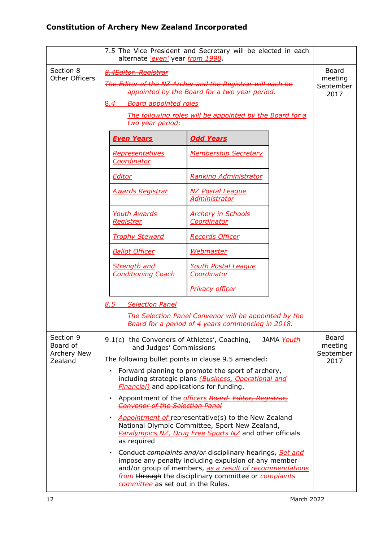|                                    | alternate 'even' year from 1998.                                                | 7.5 The Vice President and Secretary will be elected in each                                                                                                                                                                         |                   |                                       |
|------------------------------------|---------------------------------------------------------------------------------|--------------------------------------------------------------------------------------------------------------------------------------------------------------------------------------------------------------------------------------|-------------------|---------------------------------------|
| Section 8<br><b>Other Officers</b> | 8.4Editor, Registrar<br><b>Board appointed roles</b><br>8.4<br>two year period: | The Editor of the NZ Archer and the Registrar will each be<br>appointed by the Board for a two year period.<br>The following roles will be appointed by the Board for a                                                              |                   | Board<br>meeting<br>September<br>2017 |
|                                    | <b>Even Years</b>                                                               | <b>Odd Years</b>                                                                                                                                                                                                                     |                   |                                       |
|                                    | <b>Representatives</b><br>Coordinator                                           | <b>Membership Secretary</b>                                                                                                                                                                                                          |                   |                                       |
|                                    | Editor                                                                          | <b>Ranking Administrator</b>                                                                                                                                                                                                         |                   |                                       |
|                                    | <u> Awards Registrar</u>                                                        | <b>NZ Postal League</b><br><b>Administrator</b>                                                                                                                                                                                      |                   |                                       |
|                                    | <b>Youth Awards</b><br><u>Registrar</u>                                         | <b>Archery in Schools</b><br><b>Coordinator</b>                                                                                                                                                                                      |                   |                                       |
|                                    | <b>Trophy Steward</b>                                                           | <b>Records Officer</b>                                                                                                                                                                                                               |                   |                                       |
|                                    | <b>Ballot Officer</b>                                                           | <u>Webmaster</u>                                                                                                                                                                                                                     |                   |                                       |
|                                    | <b>Strength and</b><br><b>Conditioning Coach</b>                                | <b>Youth Postal League</b><br>Coordinator                                                                                                                                                                                            |                   |                                       |
|                                    |                                                                                 | Privacy officer                                                                                                                                                                                                                      |                   |                                       |
|                                    | 8.5<br><b>Selection Panel</b>                                                   |                                                                                                                                                                                                                                      |                   |                                       |
|                                    |                                                                                 | The Selection Panel Convenor will be appointed by the<br>Board for a period of 4 years commencing in 2018.                                                                                                                           |                   |                                       |
| Section 9<br>Board of              | 9.1(c) the Conveners of Athletes', Coaching,<br>and Judges' Commissions         |                                                                                                                                                                                                                                      | <b>JAMA</b> Youth | Board<br>meeting                      |
| Archery New<br>Zealand             |                                                                                 | The following bullet points in clause 9.5 amended:                                                                                                                                                                                   |                   | September<br>2017                     |
|                                    | $\bullet$<br><b>Financial)</b> and applications for funding.                    | Forward planning to promote the sport of archery,<br>including strategic plans (Business, Operational and                                                                                                                            |                   |                                       |
|                                    | $\bullet$<br><b>Convenor of the Selection Panel</b>                             | Appointment of the <i>officers Board Editor, Registrar,</i>                                                                                                                                                                          |                   |                                       |
|                                    | $\bullet$<br>as required                                                        | <b>Appointment of representative(s) to the New Zealand</b><br>National Olympic Committee, Sport New Zealand,<br>Paralympics NZ, Drug Free Sports NZ and other officials                                                              |                   |                                       |
|                                    | ٠<br>committee as set out in the Rules.                                         | Conduct complaints and/or disciplinary hearings, Set and<br>impose any penalty including expulsion of any member<br>and/or group of members, as a result of recommendations<br>from through the disciplinary committee or complaints |                   |                                       |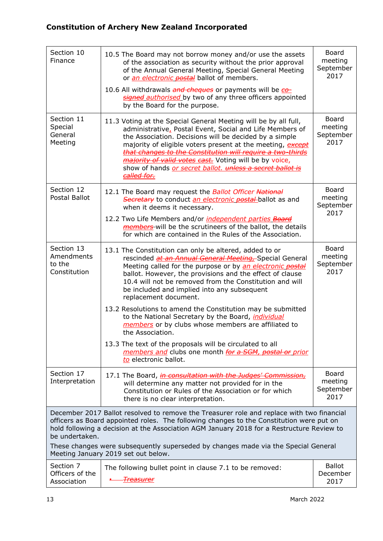| Section 10<br>Finance                              | 10.5 The Board may not borrow money and/or use the assets<br>of the association as security without the prior approval<br>of the Annual General Meeting, Special General Meeting<br>or <i>an electronic postal</i> ballot of members.                                                                                                                                                                                                                          | Board<br>meeting<br>September<br>2017        |
|----------------------------------------------------|----------------------------------------------------------------------------------------------------------------------------------------------------------------------------------------------------------------------------------------------------------------------------------------------------------------------------------------------------------------------------------------------------------------------------------------------------------------|----------------------------------------------|
|                                                    | 10.6 All withdrawals and cheques or payments will be co-<br>signed authorised by two of any three officers appointed<br>by the Board for the purpose.                                                                                                                                                                                                                                                                                                          |                                              |
| Section 11<br>Special<br>General<br>Meeting        | 11.3 Voting at the Special General Meeting will be by all full,<br>administrative, Postal Event, Social and Life Members of<br>the Association. Decisions will be decided by a simple<br>majority of eligible voters present at the meeting, except<br>that changes to the Constitution will require a two-thirds<br><i>majority of valid votes cast.</i> Voting will be by voice,<br>show of hands or secret ballot. unless a secret ballot is<br>called for. | Board<br>meeting<br>September<br>2017        |
| Section 12<br>Postal Ballot                        | 12.1 The Board may request the Ballot Officer National<br>Secretary to conduct an electronic postal-ballot as and<br>when it deems it necessary.                                                                                                                                                                                                                                                                                                               | <b>Board</b><br>meeting<br>September<br>2017 |
|                                                    | 12.2 Two Life Members and/or <i>independent parties Board</i><br>members will be the scrutineers of the ballot, the details<br>for which are contained in the Rules of the Association.                                                                                                                                                                                                                                                                        |                                              |
| Section 13<br>Amendments<br>to the<br>Constitution | 13.1 The Constitution can only be altered, added to or<br>rescinded at an Annual General Meeting, Special General<br>Meeting called for the purpose or by an electronic postal<br>ballot. However, the provisions and the effect of clause<br>10.4 will not be removed from the Constitution and will<br>be included and implied into any subsequent<br>replacement document.                                                                                  | Board<br>meeting<br>September<br>2017        |
|                                                    | 13.2 Resolutions to amend the Constitution may be submitted<br>to the National Secretary by the Board, individual<br>members or by clubs whose members are affiliated to<br>the Association.                                                                                                                                                                                                                                                                   |                                              |
|                                                    | 13.3 The text of the proposals will be circulated to all<br>members and clubs one month for a SGM, postal or prior<br>to electronic ballot.                                                                                                                                                                                                                                                                                                                    |                                              |
| Section 17<br>Interpretation                       | 17.1 The Board, <i>in consultation with the Judges' Commission</i> ,<br>will determine any matter not provided for in the<br>Constitution or Rules of the Association or for which<br>there is no clear interpretation.                                                                                                                                                                                                                                        | Board<br>meeting<br>September<br>2017        |
| be undertaken.                                     | December 2017 Ballot resolved to remove the Treasurer role and replace with two financial<br>officers as Board appointed roles. The following changes to the Constitution were put on<br>hold following a decision at the Association AGM January 2018 for a Restructure Review to<br>These changes were subsequently superseded by changes made via the Special General                                                                                       |                                              |
|                                                    | Meeting January 2019 set out below.                                                                                                                                                                                                                                                                                                                                                                                                                            |                                              |
| Section 7<br>Officers of the<br>Association        | The following bullet point in clause 7.1 to be removed:<br><u> Treasurer</u>                                                                                                                                                                                                                                                                                                                                                                                   | <b>Ballot</b><br>December<br>2017            |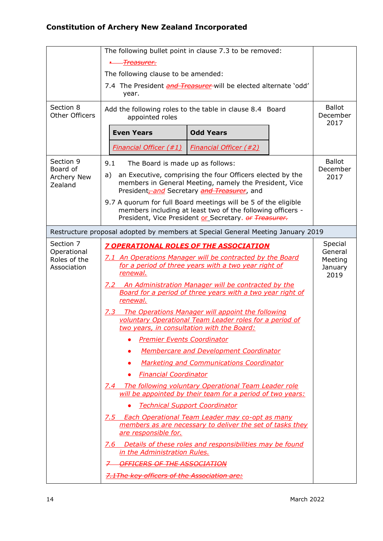|                                    | The following bullet point in clause 7.3 to be removed:                  |                                                                                                                                                                                       |                                   |  |
|------------------------------------|--------------------------------------------------------------------------|---------------------------------------------------------------------------------------------------------------------------------------------------------------------------------------|-----------------------------------|--|
|                                    | <del>Treasurer.</del>                                                    |                                                                                                                                                                                       |                                   |  |
|                                    | The following clause to be amended:                                      |                                                                                                                                                                                       |                                   |  |
|                                    | 7.4 The President and Treasurer will be elected alternate 'odd'<br>year. |                                                                                                                                                                                       |                                   |  |
| Section 8<br><b>Other Officers</b> | appointed roles                                                          | Add the following roles to the table in clause 8.4 Board                                                                                                                              | <b>Ballot</b><br>December<br>2017 |  |
|                                    | <b>Even Years</b>                                                        | <b>Odd Years</b>                                                                                                                                                                      |                                   |  |
|                                    | <b>Financial Officer (#1)</b>                                            | <b>Financial Officer (#2)</b>                                                                                                                                                         |                                   |  |
| Section 9<br>Board of              | 9.1<br>The Board is made up as follows:                                  |                                                                                                                                                                                       | <b>Ballot</b><br>December         |  |
| <b>Archery New</b><br>Zealand      | a)                                                                       | an Executive, comprising the four Officers elected by the<br>members in General Meeting, namely the President, Vice<br>President <sub>zand</sub> Secretary and Treasurer, and         | 2017                              |  |
|                                    |                                                                          | 9.7 A quorum for full Board meetings will be 5 of the eligible<br>members including at least two of the following officers -<br>President, Vice President or Secretary. or Treasurer. |                                   |  |
|                                    |                                                                          | Restructure proposal adopted by members at Special General Meeting January 2019                                                                                                       |                                   |  |
| Section 7<br>Operational           | 7 OPERATIONAL ROLES OF THE ASSOCIATION                                   |                                                                                                                                                                                       | Special<br>General                |  |
| Roles of the<br>Association        | renewal.                                                                 | 7.1 An Operations Manager will be contracted by the Board<br>for a period of three years with a two year right of                                                                     | Meeting<br>January<br>2019        |  |
|                                    | renewal.                                                                 | 7.2 An Administration Manager will be contracted by the<br>Board for a period of three years with a two year right of                                                                 |                                   |  |
|                                    | 7.3<br>two years, in consultation with the Board:                        | The Operations Manager will appoint the following<br>voluntary Operational Team Leader roles for a period of                                                                          |                                   |  |
|                                    | <b>Premier Events Coordinator</b>                                        |                                                                                                                                                                                       |                                   |  |
|                                    |                                                                          | <b>Membercare and Development Coordinator</b>                                                                                                                                         |                                   |  |
|                                    |                                                                          | <b>Marketing and Communications Coordinator</b>                                                                                                                                       |                                   |  |
|                                    | <b>Financial Coordinator</b>                                             |                                                                                                                                                                                       |                                   |  |
|                                    |                                                                          | 7.4 The following voluntary Operational Team Leader role<br>will be appointed by their team for a period of two years:                                                                |                                   |  |
|                                    | <b>Technical Support Coordinator</b>                                     |                                                                                                                                                                                       |                                   |  |
|                                    | are responsible for.                                                     | 7.5 Each Operational Team Leader may co-opt as many<br>members as are necessary to deliver the set of tasks they                                                                      |                                   |  |
|                                    | in the Administration Rules.                                             | 7.6 Details of these roles and responsibilities may be found                                                                                                                          |                                   |  |
|                                    | 7-OFFICERS OF THE ASSOCIATION                                            |                                                                                                                                                                                       |                                   |  |
|                                    | 7.1 The key officers of the Association are:                             |                                                                                                                                                                                       |                                   |  |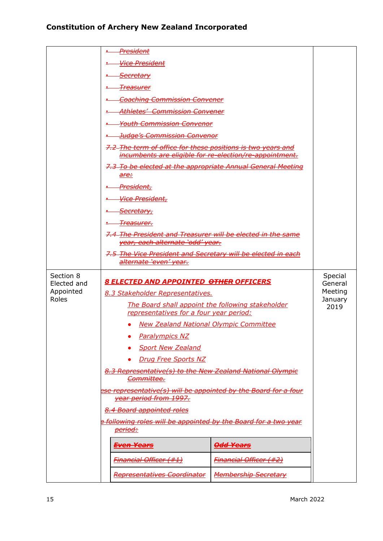|                                                | <u> President</u>                                                                                                                                                                                                                                           |                                                  |  |  |
|------------------------------------------------|-------------------------------------------------------------------------------------------------------------------------------------------------------------------------------------------------------------------------------------------------------------|--------------------------------------------------|--|--|
|                                                |                                                                                                                                                                                                                                                             |                                                  |  |  |
|                                                | <b>Vice President</b>                                                                                                                                                                                                                                       |                                                  |  |  |
|                                                | <u>-Secretary</u>                                                                                                                                                                                                                                           |                                                  |  |  |
|                                                | <del>Treasurer</del>                                                                                                                                                                                                                                        |                                                  |  |  |
|                                                | <b>Coaching Commission Convener</b>                                                                                                                                                                                                                         |                                                  |  |  |
|                                                | <u> Athletes' Commission Convener</u>                                                                                                                                                                                                                       |                                                  |  |  |
|                                                | <b>Youth Commission Convenor</b>                                                                                                                                                                                                                            |                                                  |  |  |
|                                                | <u> Judge's Commission Convenor</u>                                                                                                                                                                                                                         |                                                  |  |  |
|                                                | 7.2–The term of office for these positions is two years and                                                                                                                                                                                                 |                                                  |  |  |
|                                                | incumbents are eligible for re-election/re-appointment.                                                                                                                                                                                                     |                                                  |  |  |
|                                                | 7.3-To be elected at the appropriate Annual General Meeting                                                                                                                                                                                                 |                                                  |  |  |
|                                                | are:                                                                                                                                                                                                                                                        |                                                  |  |  |
|                                                | President,                                                                                                                                                                                                                                                  |                                                  |  |  |
|                                                | Vice President,                                                                                                                                                                                                                                             |                                                  |  |  |
|                                                | <u>Secretary,</u>                                                                                                                                                                                                                                           |                                                  |  |  |
|                                                | <del>Treasurer.</del>                                                                                                                                                                                                                                       |                                                  |  |  |
|                                                | 7.4-The President and Treasurer will be elected in the same<br>year, each alternate 'odd' year.                                                                                                                                                             |                                                  |  |  |
|                                                | 7.5-The Vice President and Secretary will be elected in each                                                                                                                                                                                                |                                                  |  |  |
|                                                | alternate 'even' year.                                                                                                                                                                                                                                      |                                                  |  |  |
| Section 8<br>Elected and<br>Appointed<br>Roles | <b>8 ELECTED AND APPOINTED OTHER OFFICERS</b><br>8.3 Stakeholder Representatives.<br>The Board shall appoint the following stakeholder<br>representatives for a four year period:<br><b>New Zealand National Olympic Committee</b><br><b>Paralympics NZ</b> | Special<br>General<br>Meeting<br>January<br>2019 |  |  |
|                                                | <b>Sport New Zealand</b><br><b>Drug Free Sports NZ</b><br>8.3 Representative(s) to the New Zealand National Olympic<br>Committee.<br>ese representative(s) will be appointed by the Board for a four<br>year period from 1997.<br>8.4 Board appointed roles |                                                  |  |  |
|                                                | <u>Following roles will be appointed by the Board for a two year</u>                                                                                                                                                                                        |                                                  |  |  |
|                                                | <del>period:</del>                                                                                                                                                                                                                                          |                                                  |  |  |
|                                                | <del><u>Odd Years</u></del><br><u>Even Years</u>                                                                                                                                                                                                            |                                                  |  |  |
|                                                | <b>Financial Officer (#1)</b><br><b>Financial Officer (#2)</b>                                                                                                                                                                                              |                                                  |  |  |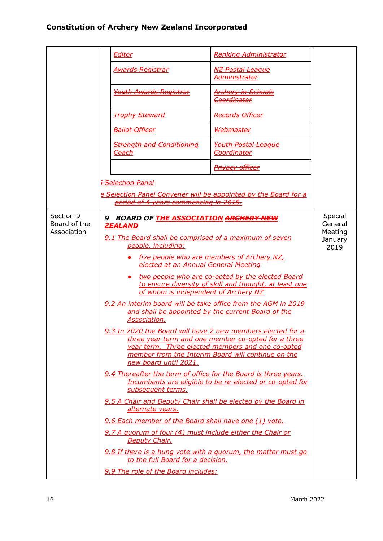|                                          |   | <b>Editor</b>                                                                                                                                                                                                                                                                                                                                                                                                                                                                                                                                                                                                                                                                                                       | <b>Ranking Administrator</b>                                                                                                                                                                                                                                                                                                                                                                                                                 |                                                  |
|------------------------------------------|---|---------------------------------------------------------------------------------------------------------------------------------------------------------------------------------------------------------------------------------------------------------------------------------------------------------------------------------------------------------------------------------------------------------------------------------------------------------------------------------------------------------------------------------------------------------------------------------------------------------------------------------------------------------------------------------------------------------------------|----------------------------------------------------------------------------------------------------------------------------------------------------------------------------------------------------------------------------------------------------------------------------------------------------------------------------------------------------------------------------------------------------------------------------------------------|--------------------------------------------------|
|                                          |   | <u> Awards Registrar</u>                                                                                                                                                                                                                                                                                                                                                                                                                                                                                                                                                                                                                                                                                            | <u>NZ Postal League</u><br><del>Administrator</del>                                                                                                                                                                                                                                                                                                                                                                                          |                                                  |
|                                          |   | <b>Youth Awards Registrar</b>                                                                                                                                                                                                                                                                                                                                                                                                                                                                                                                                                                                                                                                                                       | <b>Archery in Schools</b><br><b>Coordinator</b>                                                                                                                                                                                                                                                                                                                                                                                              |                                                  |
|                                          |   | <b>Trophy Steward</b>                                                                                                                                                                                                                                                                                                                                                                                                                                                                                                                                                                                                                                                                                               | <b>Records Officer</b>                                                                                                                                                                                                                                                                                                                                                                                                                       |                                                  |
|                                          |   | <b>Ballot Officer</b>                                                                                                                                                                                                                                                                                                                                                                                                                                                                                                                                                                                                                                                                                               | Webmaster                                                                                                                                                                                                                                                                                                                                                                                                                                    |                                                  |
|                                          |   | <b>Strength and Conditioning</b><br><del>Coach</del>                                                                                                                                                                                                                                                                                                                                                                                                                                                                                                                                                                                                                                                                | <b>Youth Postal League</b><br>Coordinator                                                                                                                                                                                                                                                                                                                                                                                                    |                                                  |
|                                          |   |                                                                                                                                                                                                                                                                                                                                                                                                                                                                                                                                                                                                                                                                                                                     | Privacy officer                                                                                                                                                                                                                                                                                                                                                                                                                              |                                                  |
|                                          |   | <b>Selection Panel</b>                                                                                                                                                                                                                                                                                                                                                                                                                                                                                                                                                                                                                                                                                              |                                                                                                                                                                                                                                                                                                                                                                                                                                              |                                                  |
|                                          |   | Selection Panel Convener will be appointed by the Board for a<br>period of 4 years commencing in 2018.                                                                                                                                                                                                                                                                                                                                                                                                                                                                                                                                                                                                              |                                                                                                                                                                                                                                                                                                                                                                                                                                              |                                                  |
| Section 9<br>Board of the<br>Association | 9 | BOARD OF THE ASSOCIATION ARCHERY NEW<br><b>ZEALAND</b><br>9.1 The Board shall be comprised of a maximum of seven<br>people, including:<br>elected at an Annual General Meeting<br>of whom is independent of Archery NZ<br>9.2 An interim board will be take office from the AGM in 2019<br>Association.<br>9.3 In 2020 the Board will have 2 new members elected for a<br>new board until 2021.<br>9.4 Thereafter the term of office for the Board is three years.<br>subsequent terms.<br>9.5 A Chair and Deputy Chair shall be elected by the Board in<br>alternate years.<br>9.6 Each member of the Board shall have one (1) vote.<br>9.7 A quorum of four (4) must include either the Chair or<br>Deputy Chair. | five people who are members of Archery NZ,<br>two people who are co-opted by the elected Board<br>to ensure diversity of skill and thought, at least one<br>and shall be appointed by the current Board of the<br>three year term and one member co-opted for a three<br>year term. Three elected members and one co-opted<br>member from the Interim Board will continue on the<br>Incumbents are eligible to be re-elected or co-opted for | Special<br>General<br>Meeting<br>January<br>2019 |
|                                          |   | 9.8 If there is a hung vote with a guorum, the matter must go<br>to the full Board for a decision.                                                                                                                                                                                                                                                                                                                                                                                                                                                                                                                                                                                                                  |                                                                                                                                                                                                                                                                                                                                                                                                                                              |                                                  |
|                                          |   | 9.9 The role of the Board includes:                                                                                                                                                                                                                                                                                                                                                                                                                                                                                                                                                                                                                                                                                 |                                                                                                                                                                                                                                                                                                                                                                                                                                              |                                                  |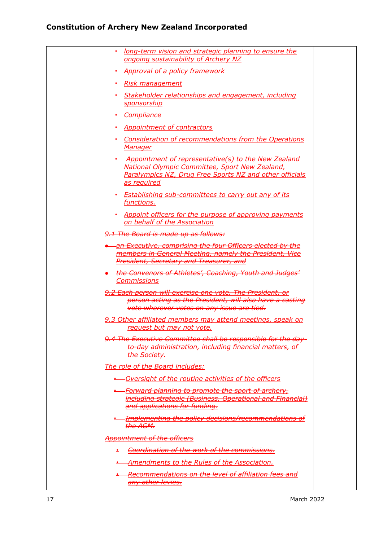| long-term vision and strategic planning to ensure the<br>٠<br>ongoing sustainability of Archery NZ                                                                              |  |
|---------------------------------------------------------------------------------------------------------------------------------------------------------------------------------|--|
| <b>Approval of a policy framework</b><br>$\bullet$                                                                                                                              |  |
| · Risk management                                                                                                                                                               |  |
| Stakeholder relationships and engagement, including<br><u>sponsorship</u>                                                                                                       |  |
| Compliance                                                                                                                                                                      |  |
| • Appointment of contractors                                                                                                                                                    |  |
| Consideration of recommendations from the Operations<br>٠<br><b>Manager</b>                                                                                                     |  |
| Appointment of representative(s) to the New Zealand<br>National Olympic Committee, Sport New Zealand,<br>Paralympics NZ, Drug Free Sports NZ and other officials<br>as required |  |
| • Establishing sub-committees to carry out any of its<br>functions.                                                                                                             |  |
| Appoint officers for the purpose of approving payments<br>on behalf of the Association                                                                                          |  |
| 9.1 The Board is made up as follows:                                                                                                                                            |  |
| an Executive, comprising the four Officers elected by the<br>members in General Meeting, namely the President, Vice<br><b>President, Secretary and Treasurer, and</b>           |  |
| the Convenors of Athletes', Coaching, Youth and Judges'<br><b>Commissions</b>                                                                                                   |  |
| 9.2 Each person will exercise one vote. The President, or<br>person acting as the President, will also have a casting<br>vote wherever votes on any issue are tied.             |  |
| 9.3 Other affiliated members may attend meetings, speak on<br>request but may not vote.                                                                                         |  |
| 9.4 The Executive Committee shall be responsible for the day-<br>to-day administration, including financial matters, of<br><u>the Society.</u>                                  |  |
| The role of the Board includes:                                                                                                                                                 |  |
| <b>.</b> Oversight of the routine activities of the officers                                                                                                                    |  |
| <u>- Forward planning to promote the sport of archery,</u><br><i>including strategic (Business, Operational and Financial)</i><br>and applications for funding.                 |  |
| <i><b>Emplementing the policy decisions/recommendations of</b></i><br><del>the AGM.</del>                                                                                       |  |
| <b>Appointment of the officers</b>                                                                                                                                              |  |
| <b>-</b> Coordination of the work of the commissions.                                                                                                                           |  |
| <b>Amendments to the Rules of the Association.</b>                                                                                                                              |  |
| <b>E</b> Recommendations on the level of affiliation fees and<br>any other levies.                                                                                              |  |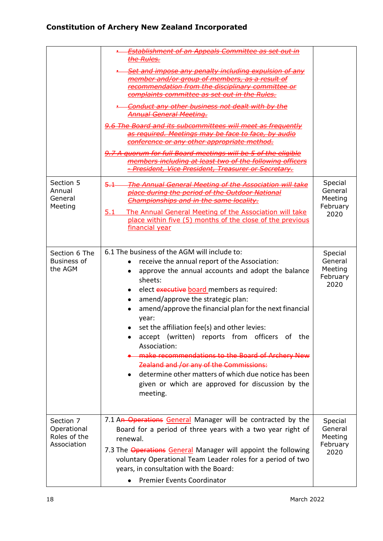|                                                         | <b>Establishment of an Appeals Committee as set out in</b><br>the Rules.<br>Set and impose any penalty including expulsion of any<br>member and/or group of members, as a result of<br>recommendation from the disciplinary committee or<br>complaints committee as set out in the Rules.<br><b>Conduct any other business not dealt with by the</b><br><b>Annual General Meeting.</b><br>9.6 The Board and its subcommittees will meet as frequently<br>as required. Meetings may be face to face, by audio<br>conference or any other appropriate method.<br>9.7 A quorum for full Board meetings will be 5 of the eligible<br>members including at least two of the following officers<br>President, Vice President, Treasurer or Secretary. |                                                   |
|---------------------------------------------------------|-------------------------------------------------------------------------------------------------------------------------------------------------------------------------------------------------------------------------------------------------------------------------------------------------------------------------------------------------------------------------------------------------------------------------------------------------------------------------------------------------------------------------------------------------------------------------------------------------------------------------------------------------------------------------------------------------------------------------------------------------|---------------------------------------------------|
| Section 5<br>Annual<br>General<br>Meeting               | The Annual General Meeting of the Association will take<br>$-5.1 -$<br>place during the period of the Outdoor National<br>Championships and in the same locality.<br>5.1<br>The Annual General Meeting of the Association will take<br>place within five (5) months of the close of the previous<br>financial year                                                                                                                                                                                                                                                                                                                                                                                                                              | Special<br>General<br>Meeting<br>February<br>2020 |
| Section 6 The<br><b>Business of</b><br>the AGM          | 6.1 The business of the AGM will include to:<br>receive the annual report of the Association:<br>approve the annual accounts and adopt the balance<br>sheets:<br>elect executive board members as required:<br>amend/approve the strategic plan:<br>amend/approve the financial plan for the next financial<br>year:<br>set the affiliation fee(s) and other levies:<br>accept (written) reports from officers of the<br>Association:<br>make recommendations to the Board of Archery New<br>Zealand and /or any of the Commissions:<br>determine other matters of which due notice has been<br>given or which are approved for discussion by the<br>meeting.                                                                                   | Special<br>General<br>Meeting<br>February<br>2020 |
| Section 7<br>Operational<br>Roles of the<br>Association | 7.1 An Operations General Manager will be contracted by the<br>Board for a period of three years with a two year right of<br>renewal.<br>7.3 The Operations General Manager will appoint the following<br>voluntary Operational Team Leader roles for a period of two<br>years, in consultation with the Board:<br><b>Premier Events Coordinator</b>                                                                                                                                                                                                                                                                                                                                                                                            | Special<br>General<br>Meeting<br>February<br>2020 |